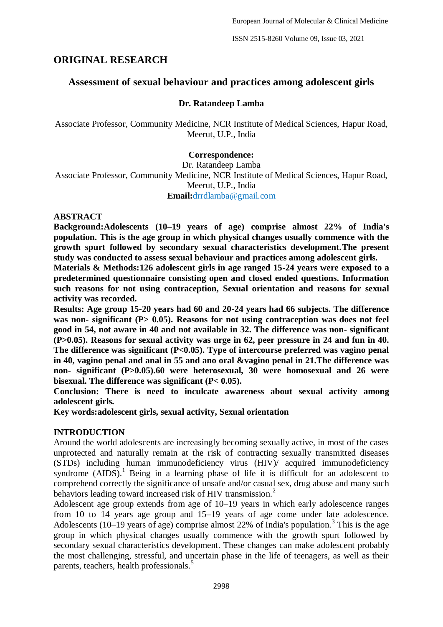ISSN 2515-8260 Volume 09, Issue 03, 2021

# **ORIGINAL RESEARCH**

## **Assessment of sexual behaviour and practices among adolescent girls**

## **Dr. Ratandeep Lamba**

Associate Professor, Community Medicine, NCR Institute of Medical Sciences, Hapur Road, Meerut, U.P., India

## **Correspondence:**

Dr. Ratandeep Lamba Associate Professor, Community Medicine, NCR Institute of Medical Sciences, Hapur Road, Meerut, U.P., India **Email:**drrdlamba@gmail.com

#### **ABSTRACT**

**Background:Adolescents (10–19 years of age) comprise almost 22% of India's population. This is the age group in which physical changes usually commence with the growth spurt followed by secondary sexual characteristics development.The present study was conducted to assess sexual behaviour and practices among adolescent girls.**

**Materials & Methods:126 adolescent girls in age ranged 15-24 years were exposed to a predetermined questionnaire consisting open and closed ended questions. Information such reasons for not using contraception, Sexual orientation and reasons for sexual activity was recorded.**

**Results: Age group 15-20 years had 60 and 20-24 years had 66 subjects. The difference**  was non- significant (P> 0.05). Reasons for not using contraception was does not feel **good in 54, not aware in 40 and not available in 32. The difference was non- significant (P>0.05). Reasons for sexual activity was urge in 62, peer pressure in 24 and fun in 40.**  The difference was significant (P<0.05). Type of intercourse preferred was vagino penal **in 40, vagino penal and anal in 55 and ano oral &vagino penal in 21.The difference was non- significant (P>0.05).60 were heterosexual, 30 were homosexual and 26 were bisexual. The difference was significant (P< 0.05).**

**Conclusion: There is need to inculcate awareness about sexual activity among adolescent girls.**

**Key words:adolescent girls, sexual activity, Sexual orientation**

#### **INTRODUCTION**

Around the world adolescents are increasingly becoming sexually active, in most of the cases unprotected and naturally remain at the risk of contracting sexually transmitted diseases (STDs) including human immunodeficiency virus (HIV)/ acquired immunodeficiency syndrome  $(AIDS)^1$  Being in a learning phase of life it is difficult for an adolescent to comprehend correctly the significance of unsafe and/or casual sex, drug abuse and many such behaviors leading toward increased risk of HIV transmission.<sup>2</sup>

Adolescent age group extends from age of 10–19 years in which early adolescence ranges from 10 to 14 years age group and 15–19 years of age come under late adolescence. Adolescents (10–19 years of age) comprise almost 22% of India's population.<sup>3</sup> This is the age group in which physical changes usually commence with the growth spurt followed by secondary sexual characteristics development. These changes can make adolescent probably the most challenging, stressful, and uncertain phase in the life of teenagers, as well as their parents, teachers, health professionals.<sup>5</sup>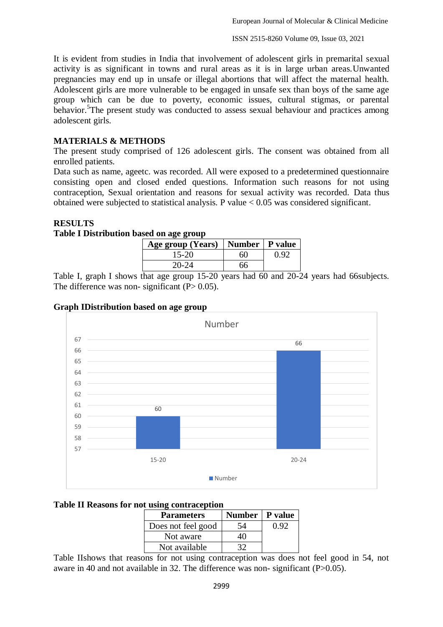It is evident from studies in India that involvement of adolescent girls in premarital sexual activity is as significant in towns and rural areas as it is in large urban areas.Unwanted pregnancies may end up in unsafe or illegal abortions that will affect the maternal health. Adolescent girls are more vulnerable to be engaged in unsafe sex than boys of the same age group which can be due to poverty, economic issues, cultural stigmas, or parental behavior.<sup>5</sup>The present study was conducted to assess sexual behaviour and practices among adolescent girls.

## **MATERIALS & METHODS**

The present study comprised of 126 adolescent girls. The consent was obtained from all enrolled patients.

Data such as name, ageetc. was recorded. All were exposed to a predetermined questionnaire consisting open and closed ended questions. Information such reasons for not using contraception, Sexual orientation and reasons for sexual activity was recorded. Data thus obtained were subjected to statistical analysis. P value < 0.05 was considered significant.

## **RESULTS**

#### **Table I Distribution based on age group**

| Age group (Years)   Number   P value |    |      |
|--------------------------------------|----|------|
| 15-20                                | 60 | 0.92 |
| $20 - 24$                            | 66 |      |

Table I, graph I shows that age group 15-20 years had 60 and 20-24 years had 66subjects. The difference was non- significant  $(P> 0.05)$ .





#### **Table II Reasons for not using contraception**

| <b>Parameters</b>  | Number   P value |      |
|--------------------|------------------|------|
| Does not feel good | 54               | 0.92 |
| Not aware          |                  |      |
| Not available      |                  |      |

Table IIshows that reasons for not using contraception was does not feel good in 54, not aware in 40 and not available in 32. The difference was non- significant (P>0.05).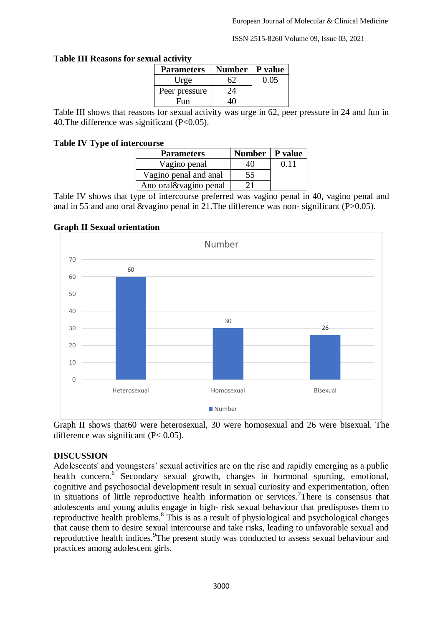ISSN 2515-8260 Volume 09, Issue 03, 2021

| IAI ACUVILV |                   |               |         |  |
|-------------|-------------------|---------------|---------|--|
|             | <b>Parameters</b> | <b>Number</b> | P value |  |
|             | Urge              |               | 0.05    |  |
|             | Peer pressure     | 24            |         |  |
|             | Fun               |               |         |  |

#### **Table III Reasons for sexual activity**

Table III shows that reasons for sexual activity was urge in 62, peer pressure in 24 and fun in 40. The difference was significant  $(P<0.05)$ .

## **Table IV Type of intercourse**

| <b>Parameters</b>     | Number   P value |      |
|-----------------------|------------------|------|
| Vagino penal          | 40               | 0.11 |
| Vagino penal and anal | 55               |      |
| Ano oral&vagino penal |                  |      |

Table IV shows that type of intercourse preferred was vagino penal in 40, vagino penal and anal in 55 and ano oral &vagino penal in 21.The difference was non- significant (P>0.05).



## **Graph II Sexual orientation**

Graph II shows that60 were heterosexual, 30 were homosexual and 26 were bisexual. The difference was significant  $(P< 0.05)$ .

#### **DISCUSSION**

Adolescents' and youngsters' sexual activities are on the rise and rapidly emerging as a public health concern.<sup>6</sup> Secondary sexual growth, changes in hormonal spurting, emotional, cognitive and psychosocial development result in sexual curiosity and experimentation, often in situations of little reproductive health information or services.<sup>7</sup>There is consensus that adolescents and young adults engage in high- risk sexual behaviour that predisposes them to reproductive health problems.<sup>8</sup> This is as a result of physiological and psychological changes that cause them to desire sexual intercourse and take risks, leading to unfavorable sexual and reproductive health indices. <sup>9</sup>The present study was conducted to assess sexual behaviour and practices among adolescent girls.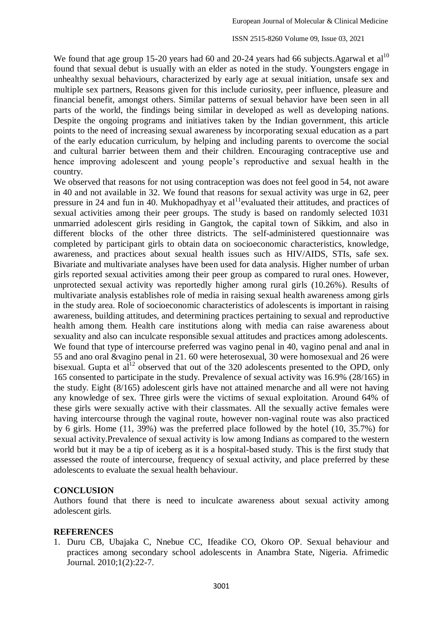ISSN 2515-8260 Volume 09, Issue 03, 2021

We found that age group 15-20 years had 60 and 20-24 years had 66 subjects. Agarwal et  $al<sup>10</sup>$ found that sexual debut is usually with an elder as noted in the study. Youngsters engage in unhealthy sexual behaviours, characterized by early age at sexual initiation, unsafe sex and multiple sex partners, Reasons given for this include curiosity, peer influence, pleasure and financial benefit, amongst others. Similar patterns of sexual behavior have been seen in all parts of the world, the findings being similar in developed as well as developing nations. Despite the ongoing programs and initiatives taken by the Indian government, this article points to the need of increasing sexual awareness by incorporating sexual education as a part of the early education curriculum, by helping and including parents to overcome the social and cultural barrier between them and their children. Encouraging contraceptive use and hence improving adolescent and young people's reproductive and sexual health in the country.

We observed that reasons for not using contraception was does not feel good in 54, not aware in 40 and not available in 32. We found that reasons for sexual activity was urge in 62, peer pressure in 24 and fun in 40. Mukhopadhyay et  $al<sup>11</sup>$ evaluated their attitudes, and practices of sexual activities among their peer groups. The study is based on randomly selected 1031 unmarried adolescent girls residing in Gangtok, the capital town of Sikkim, and also in different blocks of the other three districts. The self-administered questionnaire was completed by participant girls to obtain data on socioeconomic characteristics, knowledge, awareness, and practices about sexual health issues such as HIV/AIDS, STIs, safe sex. Bivariate and multivariate analyses have been used for data analysis. Higher number of urban girls reported sexual activities among their peer group as compared to rural ones. However, unprotected sexual activity was reportedly higher among rural girls (10.26%). Results of multivariate analysis establishes role of media in raising sexual health awareness among girls in the study area. Role of socioeconomic characteristics of adolescents is important in raising awareness, building attitudes, and determining practices pertaining to sexual and reproductive health among them. Health care institutions along with media can raise awareness about sexuality and also can inculcate responsible sexual attitudes and practices among adolescents. We found that type of intercourse preferred was vagino penal in 40, vagino penal and anal in 55 and ano oral &vagino penal in 21. 60 were heterosexual, 30 were homosexual and 26 were bisexual. Gupta et  $aI^{12}$  observed that out of the 320 adolescents presented to the OPD, only 165 consented to participate in the study. Prevalence of sexual activity was 16.9% (28/165) in the study. Eight (8/165) adolescent girls have not attained menarche and all were not having any knowledge of sex. Three girls were the victims of sexual exploitation. Around 64% of these girls were sexually active with their classmates. All the sexually active females were having intercourse through the vaginal route, however non-vaginal route was also practiced by 6 girls. Home (11, 39%) was the preferred place followed by the hotel (10, 35.7%) for sexual activity.Prevalence of sexual activity is low among Indians as compared to the western world but it may be a tip of iceberg as it is a hospital-based study. This is the first study that assessed the route of intercourse, frequency of sexual activity, and place preferred by these adolescents to evaluate the sexual health behaviour.

#### **CONCLUSION**

Authors found that there is need to inculcate awareness about sexual activity among adolescent girls.

#### **REFERENCES**

1. Duru CB, Ubajaka C, Nnebue CC, Ifeadike CO, Okoro OP. Sexual behaviour and practices among secondary school adolescents in Anambra State, Nigeria. Afrimedic Journal. 2010;1(2):22-7.